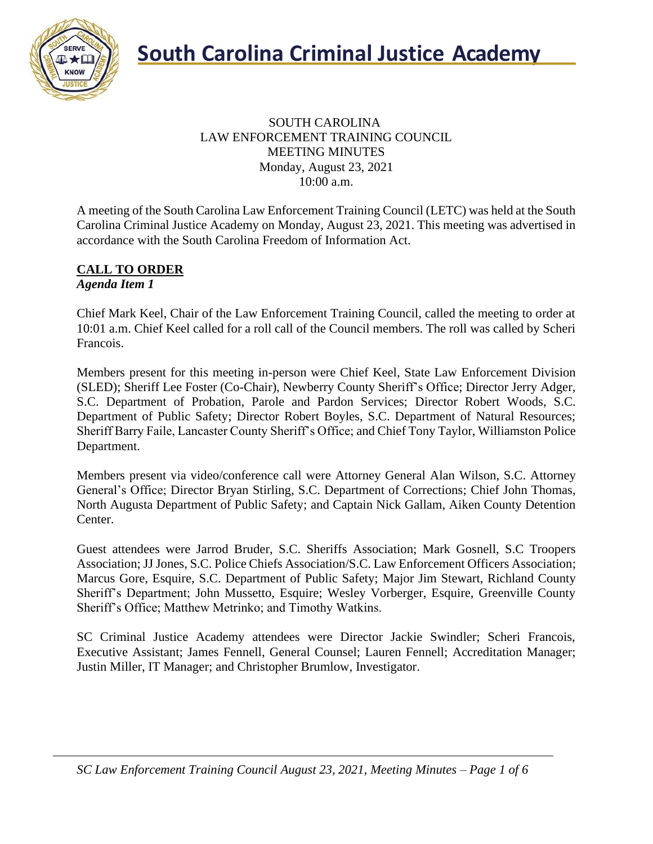

## SOUTH CAROLINA LAW ENFORCEMENT TRAINING COUNCIL MEETING MINUTES Monday, August 23, 2021 10:00 a.m.

A meeting of the South Carolina Law Enforcement Training Council (LETC) was held at the South Carolina Criminal Justice Academy on Monday, August 23, 2021. This meeting was advertised in accordance with the South Carolina Freedom of Information Act.

## **CALL TO ORDER** *Agenda Item 1*

Chief Mark Keel, Chair of the Law Enforcement Training Council, called the meeting to order at 10:01 a.m. Chief Keel called for a roll call of the Council members. The roll was called by Scheri Francois.

Members present for this meeting in-person were Chief Keel, State Law Enforcement Division (SLED); Sheriff Lee Foster (Co-Chair), Newberry County Sheriff's Office; Director Jerry Adger, S.C. Department of Probation, Parole and Pardon Services; Director Robert Woods, S.C. Department of Public Safety; Director Robert Boyles, S.C. Department of Natural Resources; Sheriff Barry Faile, Lancaster County Sheriff's Office; and Chief Tony Taylor, Williamston Police Department.

Members present via video/conference call were Attorney General Alan Wilson, S.C. Attorney General's Office; Director Bryan Stirling, S.C. Department of Corrections; Chief John Thomas, North Augusta Department of Public Safety; and Captain Nick Gallam, Aiken County Detention Center.

Guest attendees were Jarrod Bruder, S.C. Sheriffs Association; Mark Gosnell, S.C Troopers Association; JJ Jones, S.C. Police Chiefs Association/S.C. Law Enforcement Officers Association; Marcus Gore, Esquire, S.C. Department of Public Safety; Major Jim Stewart, Richland County Sheriff's Department; John Mussetto, Esquire; Wesley Vorberger, Esquire, Greenville County Sheriff's Office; Matthew Metrinko; and Timothy Watkins.

SC Criminal Justice Academy attendees were Director Jackie Swindler; Scheri Francois, Executive Assistant; James Fennell, General Counsel; Lauren Fennell; Accreditation Manager; Justin Miller, IT Manager; and Christopher Brumlow, Investigator.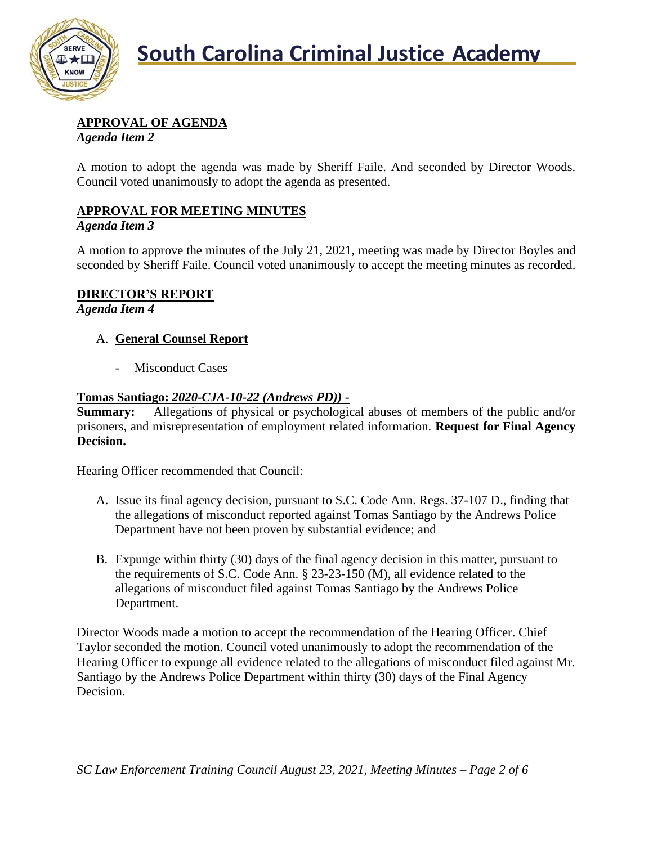

# **APPROVAL OF AGENDA**

*Agenda Item 2*

A motion to adopt the agenda was made by Sheriff Faile. And seconded by Director Woods. Council voted unanimously to adopt the agenda as presented.

# **APPROVAL FOR MEETING MINUTES**

## *Agenda Item 3*

A motion to approve the minutes of the July 21, 2021, meeting was made by Director Boyles and seconded by Sheriff Faile. Council voted unanimously to accept the meeting minutes as recorded.

# **DIRECTOR'S REPORT**

*Agenda Item 4*

# A. **General Counsel Report**

- Misconduct Cases

# **Tomas Santiago:** *2020-CJA-10-22 (Andrews PD))* **-**

**Summary:** Allegations of physical or psychological abuses of members of the public and/or prisoners, and misrepresentation of employment related information. **Request for Final Agency Decision.**

Hearing Officer recommended that Council:

- A. Issue its final agency decision, pursuant to S.C. Code Ann. Regs. 37-107 D., finding that the allegations of misconduct reported against Tomas Santiago by the Andrews Police Department have not been proven by substantial evidence; and
- B. Expunge within thirty (30) days of the final agency decision in this matter, pursuant to the requirements of S.C. Code Ann. § 23-23-150 (M), all evidence related to the allegations of misconduct filed against Tomas Santiago by the Andrews Police Department.

Director Woods made a motion to accept the recommendation of the Hearing Officer. Chief Taylor seconded the motion. Council voted unanimously to adopt the recommendation of the Hearing Officer to expunge all evidence related to the allegations of misconduct filed against Mr. Santiago by the Andrews Police Department within thirty (30) days of the Final Agency Decision.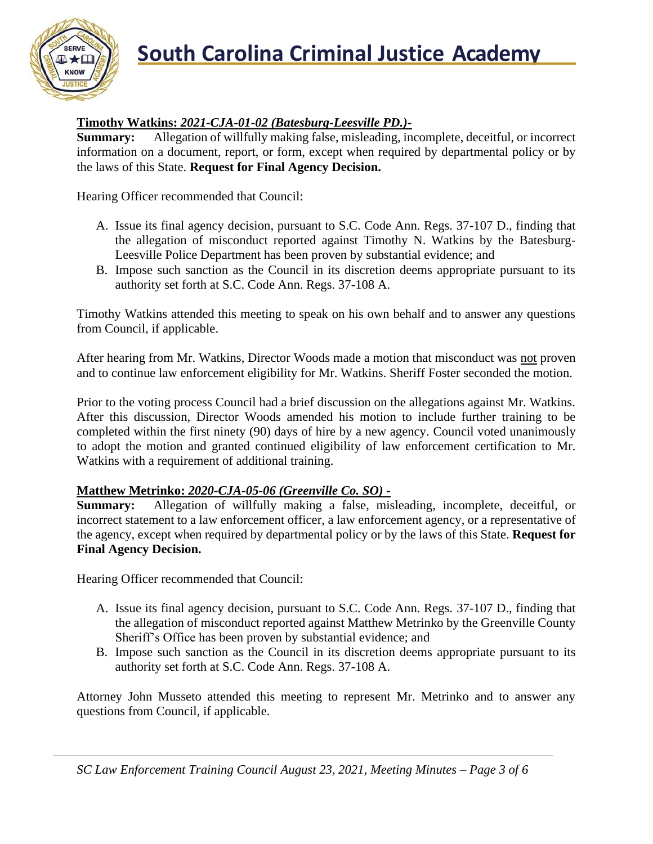

# **Timothy Watkins:** *2021-CJA-01-02 (Batesburg-Leesville PD.)***-**

**Summary:** Allegation of willfully making false, misleading, incomplete, deceitful, or incorrect information on a document, report, or form, except when required by departmental policy or by the laws of this State. **Request for Final Agency Decision.**

Hearing Officer recommended that Council:

- A. Issue its final agency decision, pursuant to S.C. Code Ann. Regs. 37-107 D., finding that the allegation of misconduct reported against Timothy N. Watkins by the Batesburg-Leesville Police Department has been proven by substantial evidence; and
- B. Impose such sanction as the Council in its discretion deems appropriate pursuant to its authority set forth at S.C. Code Ann. Regs. 37-108 A.

Timothy Watkins attended this meeting to speak on his own behalf and to answer any questions from Council, if applicable.

After hearing from Mr. Watkins, Director Woods made a motion that misconduct was not proven and to continue law enforcement eligibility for Mr. Watkins. Sheriff Foster seconded the motion.

Prior to the voting process Council had a brief discussion on the allegations against Mr. Watkins. After this discussion, Director Woods amended his motion to include further training to be completed within the first ninety (90) days of hire by a new agency. Council voted unanimously to adopt the motion and granted continued eligibility of law enforcement certification to Mr. Watkins with a requirement of additional training.

## **Matthew Metrinko:** *2020-CJA-05-06 (Greenville Co. SO) -*

**Summary:** Allegation of willfully making a false, misleading, incomplete, deceitful, or incorrect statement to a law enforcement officer, a law enforcement agency, or a representative of the agency, except when required by departmental policy or by the laws of this State. **Request for Final Agency Decision.**

Hearing Officer recommended that Council:

- A. Issue its final agency decision, pursuant to S.C. Code Ann. Regs. 37-107 D., finding that the allegation of misconduct reported against Matthew Metrinko by the Greenville County Sheriff's Office has been proven by substantial evidence; and
- B. Impose such sanction as the Council in its discretion deems appropriate pursuant to its authority set forth at S.C. Code Ann. Regs. 37-108 A.

Attorney John Musseto attended this meeting to represent Mr. Metrinko and to answer any questions from Council, if applicable.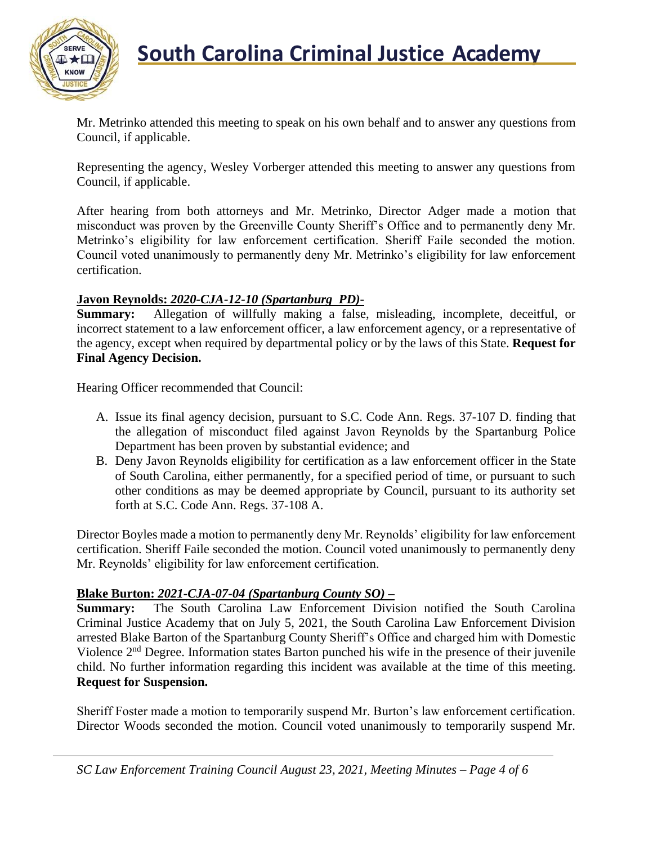

Mr. Metrinko attended this meeting to speak on his own behalf and to answer any questions from Council, if applicable.

Representing the agency, Wesley Vorberger attended this meeting to answer any questions from Council, if applicable.

After hearing from both attorneys and Mr. Metrinko, Director Adger made a motion that misconduct was proven by the Greenville County Sheriff's Office and to permanently deny Mr. Metrinko's eligibility for law enforcement certification. Sheriff Faile seconded the motion. Council voted unanimously to permanently deny Mr. Metrinko's eligibility for law enforcement certification.

## **Javon Reynolds:** *2020-CJA-12-10 (Spartanburg PD)***-**

**Summary:** Allegation of willfully making a false, misleading, incomplete, deceitful, or incorrect statement to a law enforcement officer, a law enforcement agency, or a representative of the agency, except when required by departmental policy or by the laws of this State. **Request for Final Agency Decision.**

Hearing Officer recommended that Council:

- A. Issue its final agency decision, pursuant to S.C. Code Ann. Regs. 37-107 D. finding that the allegation of misconduct filed against Javon Reynolds by the Spartanburg Police Department has been proven by substantial evidence; and
- B. Deny Javon Reynolds eligibility for certification as a law enforcement officer in the State of South Carolina, either permanently, for a specified period of time, or pursuant to such other conditions as may be deemed appropriate by Council, pursuant to its authority set forth at S.C. Code Ann. Regs. 37-108 A.

Director Boyles made a motion to permanently deny Mr. Reynolds' eligibility for law enforcement certification. Sheriff Faile seconded the motion. Council voted unanimously to permanently deny Mr. Reynolds' eligibility for law enforcement certification.

## **Blake Burton:** *2021-CJA-07-04 (Spartanburg County SO)* **–**

**Summary:** The South Carolina Law Enforcement Division notified the South Carolina Criminal Justice Academy that on July 5, 2021, the South Carolina Law Enforcement Division arrested Blake Barton of the Spartanburg County Sheriff's Office and charged him with Domestic Violence 2nd Degree. Information states Barton punched his wife in the presence of their juvenile child. No further information regarding this incident was available at the time of this meeting. **Request for Suspension.**

Sheriff Foster made a motion to temporarily suspend Mr. Burton's law enforcement certification. Director Woods seconded the motion. Council voted unanimously to temporarily suspend Mr.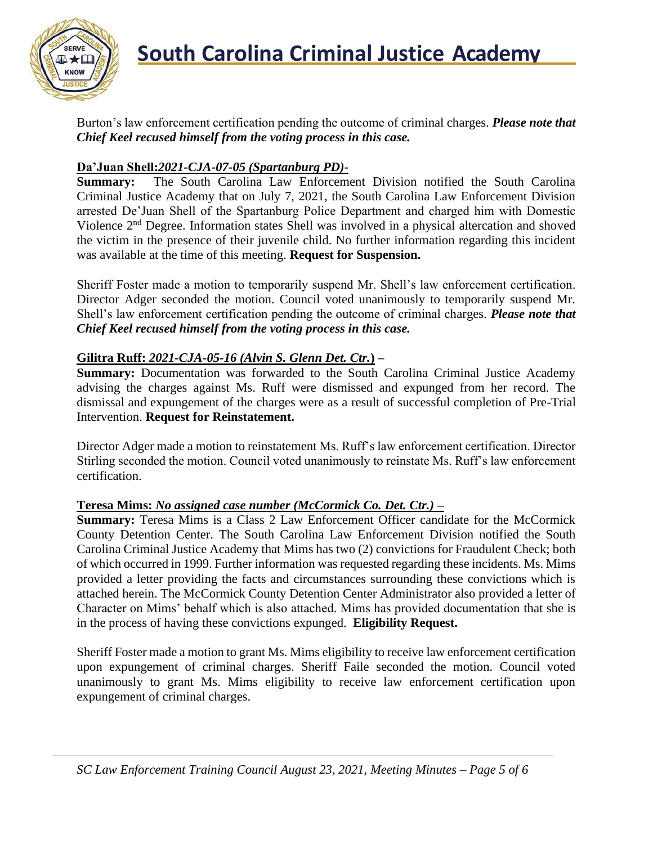

Burton's law enforcement certification pending the outcome of criminal charges. *Please note that Chief Keel recused himself from the voting process in this case.*

## **Da'Juan Shell:***2021-CJA-07-05 (Spartanburg PD)***-**

**Summary:** The South Carolina Law Enforcement Division notified the South Carolina Criminal Justice Academy that on July 7, 2021, the South Carolina Law Enforcement Division arrested De'Juan Shell of the Spartanburg Police Department and charged him with Domestic Violence 2nd Degree. Information states Shell was involved in a physical altercation and shoved the victim in the presence of their juvenile child. No further information regarding this incident was available at the time of this meeting. **Request for Suspension.**

Sheriff Foster made a motion to temporarily suspend Mr. Shell's law enforcement certification. Director Adger seconded the motion. Council voted unanimously to temporarily suspend Mr. Shell's law enforcement certification pending the outcome of criminal charges. *Please note that Chief Keel recused himself from the voting process in this case.*

## **Gilitra Ruff:** *2021-CJA-05-16 (Alvin S. Glenn Det. Ctr.***) –**

**Summary:** Documentation was forwarded to the South Carolina Criminal Justice Academy advising the charges against Ms. Ruff were dismissed and expunged from her record. The dismissal and expungement of the charges were as a result of successful completion of Pre-Trial Intervention. **Request for Reinstatement.**

Director Adger made a motion to reinstatement Ms. Ruff's law enforcement certification. Director Stirling seconded the motion. Council voted unanimously to reinstate Ms. Ruff's law enforcement certification.

# **Teresa Mims:** *No assigned case number (McCormick Co. Det. Ctr.) –*

**Summary:** Teresa Mims is a Class 2 Law Enforcement Officer candidate for the McCormick County Detention Center. The South Carolina Law Enforcement Division notified the South Carolina Criminal Justice Academy that Mims has two (2) convictions for Fraudulent Check; both of which occurred in 1999. Further information was requested regarding these incidents. Ms. Mims provided a letter providing the facts and circumstances surrounding these convictions which is attached herein. The McCormick County Detention Center Administrator also provided a letter of Character on Mims' behalf which is also attached. Mims has provided documentation that she is in the process of having these convictions expunged. **Eligibility Request.**

Sheriff Foster made a motion to grant Ms. Mims eligibility to receive law enforcement certification upon expungement of criminal charges. Sheriff Faile seconded the motion. Council voted unanimously to grant Ms. Mims eligibility to receive law enforcement certification upon expungement of criminal charges.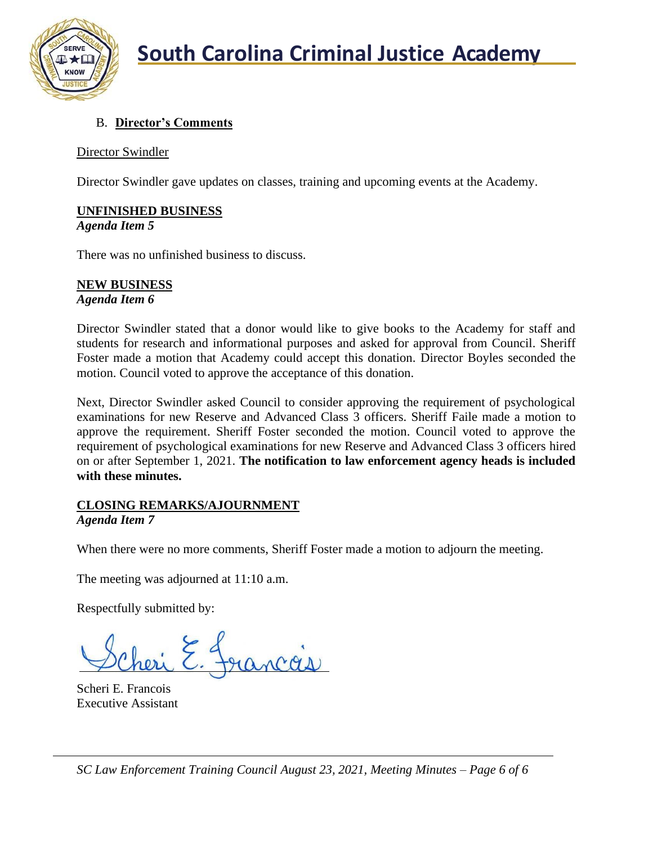

# B. **Director's Comments**

## Director Swindler

Director Swindler gave updates on classes, training and upcoming events at the Academy.

# **UNFINISHED BUSINESS**

*Agenda Item 5*

There was no unfinished business to discuss.

# **NEW BUSINESS**

*Agenda Item 6*

Director Swindler stated that a donor would like to give books to the Academy for staff and students for research and informational purposes and asked for approval from Council. Sheriff Foster made a motion that Academy could accept this donation. Director Boyles seconded the motion. Council voted to approve the acceptance of this donation.

Next, Director Swindler asked Council to consider approving the requirement of psychological examinations for new Reserve and Advanced Class 3 officers. Sheriff Faile made a motion to approve the requirement. Sheriff Foster seconded the motion. Council voted to approve the requirement of psychological examinations for new Reserve and Advanced Class 3 officers hired on or after September 1, 2021. **The notification to law enforcement agency heads is included with these minutes.**

#### **CLOSING REMARKS/AJOURNMENT** *Agenda Item 7*

When there were no more comments, Sheriff Foster made a motion to adjourn the meeting.

The meeting was adjourned at 11:10 a.m.

Respectfully submitted by:

Scheri E. Francois Executive Assistant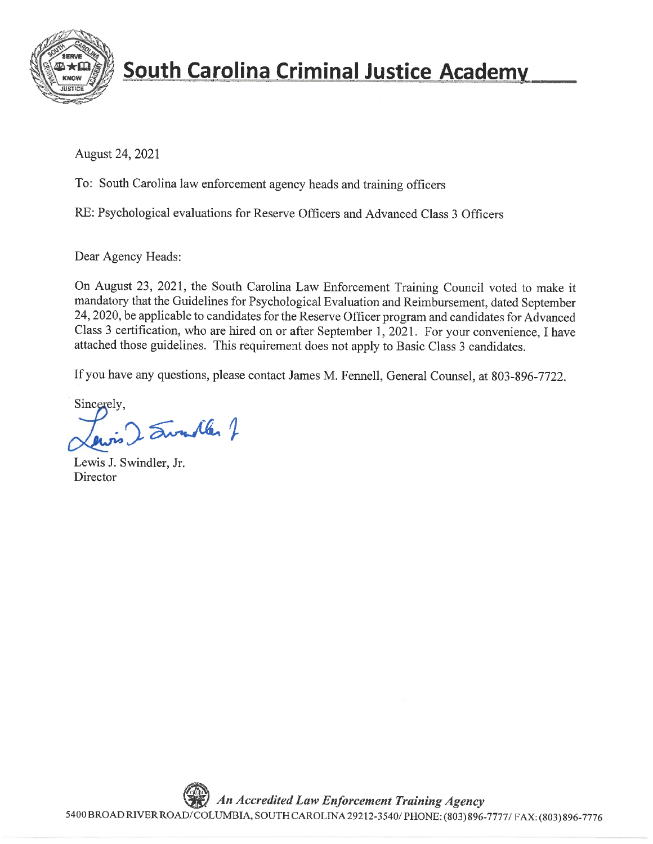

# **South Carolina Criminal Justice Academy**

August 24, 2021

To: South Carolina law enforcement agency heads and training officers

RE: Psychological evaluations for Reserve Officers and Advanced Class 3 Officers

Dear Agency Heads:

On August 23, 2021, the South Carolina Law Enforcement Training Council voted to make it mandatory that the Guidelines for Psychological Evaluation and Reimbursement, dated September 24, 2020, be applicable to candidates for the Reserve Officer program and candidates for Advanced Class 3 certification, who are hired on or after September 1, 2021. For your convenience, I have attached those guidelines. This requirement does not apply to Basic Class 3 candidates.

If you have any questions, please contact James M. Fennell, General Counsel, at 803-896-7722.

Sincerely, 2 Sundler 7

Lewis J. Swindler, Jr. Director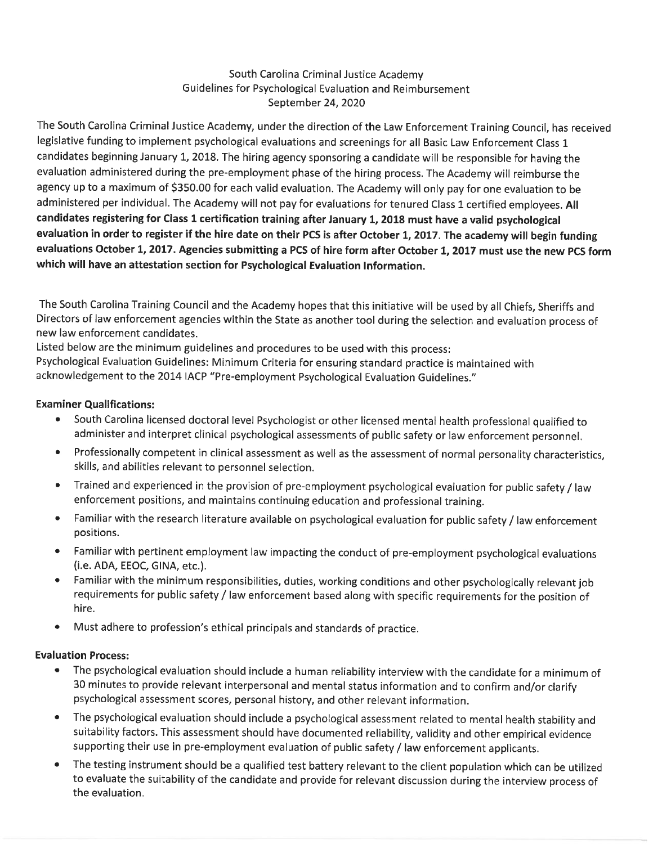#### South Carolina Criminal Justice Academy Guidelines for Psychological Evaluation and Reimbursement September 24, 2020

The South Carolina Criminal Justice Academy, under the direction of the Law Enforcement Training Council, has received legislative funding to implement psychological evaluations and screenings for all Basic Law Enforcement Class 1 candidates beginning January 1, 2018. The hiring agency sponsoring a candidate will be responsible for having the evaluation administered during the pre-employment phase of the hiring process. The Academy will reimburse the agency up to a maximum of \$350.00 for each valid evaluation. The Academy will only pay for one evaluation to be administered per individual. The Academy will not pay for evaluations for tenured Class 1 certified employees. All candidates registering for Class 1 certification training after January 1, 2018 must have a valid psychological evaluation in order to register if the hire date on their PCS is after October 1, 2017. The academy will begin funding evaluations October 1, 2017. Agencies submitting a PCS of hire form after October 1, 2017 must use the new PCS form which will have an attestation section for Psychological Evaluation Information.

The South Carolina Training Council and the Academy hopes that this initiative will be used by all Chiefs, Sheriffs and Directors of law enforcement agencies within the State as another tool during the selection and evaluation process of new law enforcement candidates.

Listed below are the minimum guidelines and procedures to be used with this process: Psychological Evaluation Guidelines: Minimum Criteria for ensuring standard practice is maintained with acknowledgement to the 2014 IACP "Pre-employment Psychological Evaluation Guidelines."

#### **Examiner Qualifications:**

- South Carolina licensed doctoral level Psychologist or other licensed mental health professional qualified to administer and interpret clinical psychological assessments of public safety or law enforcement personnel.
- Professionally competent in clinical assessment as well as the assessment of normal personality characteristics,  $\bullet$ skills, and abilities relevant to personnel selection.
- Trained and experienced in the provision of pre-employment psychological evaluation for public safety / law  $\bullet$ enforcement positions, and maintains continuing education and professional training.
- Familiar with the research literature available on psychological evaluation for public safety / law enforcement positions.
- Familiar with pertinent employment law impacting the conduct of pre-employment psychological evaluations (i.e. ADA, EEOC, GINA, etc.).
- Familiar with the minimum responsibilities, duties, working conditions and other psychologically relevant job  $\bullet$ requirements for public safety / law enforcement based along with specific requirements for the position of hire.
- $\bullet$ Must adhere to profession's ethical principals and standards of practice.

#### **Evaluation Process:**

- The psychological evaluation should include a human reliability interview with the candidate for a minimum of  $\bullet$ 30 minutes to provide relevant interpersonal and mental status information and to confirm and/or clarify psychological assessment scores, personal history, and other relevant information.
- The psychological evaluation should include a psychological assessment related to mental health stability and  $\bullet$ suitability factors. This assessment should have documented reliability, validity and other empirical evidence supporting their use in pre-employment evaluation of public safety / law enforcement applicants.
- The testing instrument should be a qualified test battery relevant to the client population which can be utilized  $\bullet$ to evaluate the suitability of the candidate and provide for relevant discussion during the interview process of the evaluation.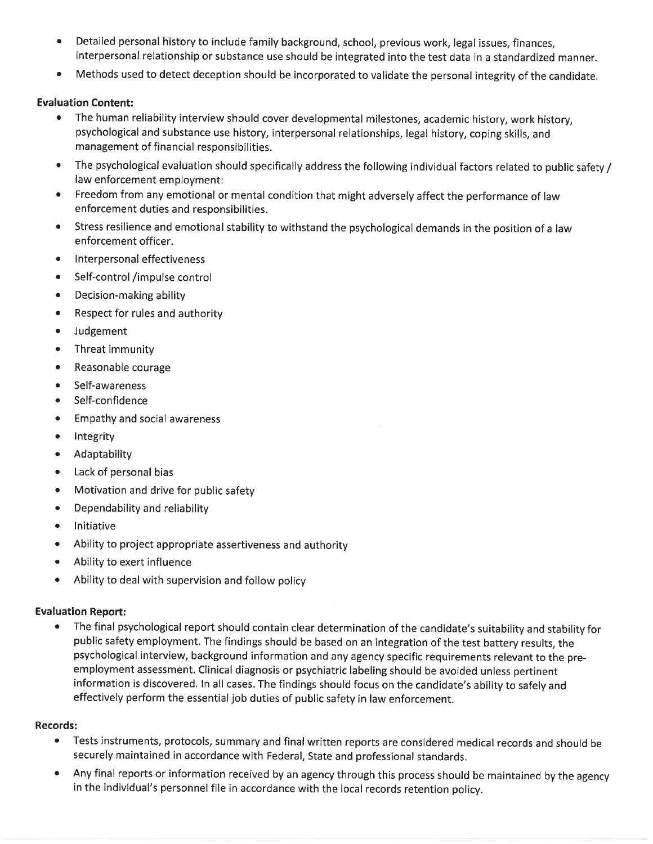- Detailed personal history to include family background, school, previous work, legal issues, finances,  $\bullet$ interpersonal relationship or substance use should be integrated into the test data in a standardized manner.
- Methods used to detect deception should be incorporated to validate the personal integrity of the candidate.  $\bullet$

#### **Evaluation Content:**

- The human reliability interview should cover developmental milestones, academic history, work history,  $\bullet$ psychological and substance use history, interpersonal relationships, legal history, coping skills, and management of financial responsibilities.
- The psychological evaluation should specifically address the following individual factors related to public safety /  $\bullet$ law enforcement employment:
- Freedom from any emotional or mental condition that might adversely affect the performance of law enforcement duties and responsibilities.
- Stress resilience and emotional stability to withstand the psychological demands in the position of a law  $\bullet$ enforcement officer.
- Interpersonal effectiveness  $\bullet$
- $\bullet$ Self-control /impulse control
- Decision-making ability  $\bullet$
- Respect for rules and authority  $\bullet$
- $\bullet$ Judgement
- Threat immunity  $\bullet$
- $\bullet$ Reasonable courage
- Self-awareness  $\bullet$
- Self-confidence  $\bullet$
- **Empathy and social awareness**  $\bullet$
- Integrity  $\bullet$
- Adaptability  $\bullet$
- Lack of personal bias  $\bullet$
- Motivation and drive for public safety  $\bullet$
- Dependability and reliability  $\bullet$
- $\bullet$ Initiative
- Ability to project appropriate assertiveness and authority  $\bullet$
- Ability to exert influence  $\bullet$
- Ability to deal with supervision and follow policy  $\bullet$

#### **Evaluation Report:**

 $\bullet$ The final psychological report should contain clear determination of the candidate's suitability and stability for public safety employment. The findings should be based on an integration of the test battery results, the psychological interview, background information and any agency specific requirements relevant to the preemployment assessment. Clinical diagnosis or psychiatric labeling should be avoided unless pertinent information is discovered. In all cases. The findings should focus on the candidate's ability to safely and effectively perform the essential job duties of public safety in law enforcement.

#### **Records:**

- Tests instruments, protocols, summary and final written reports are considered medical records and should be  $\bullet$ securely maintained in accordance with Federal, State and professional standards.
- Any final reports or information received by an agency through this process should be maintained by the agency ٠ in the individual's personnel file in accordance with the local records retention policy.